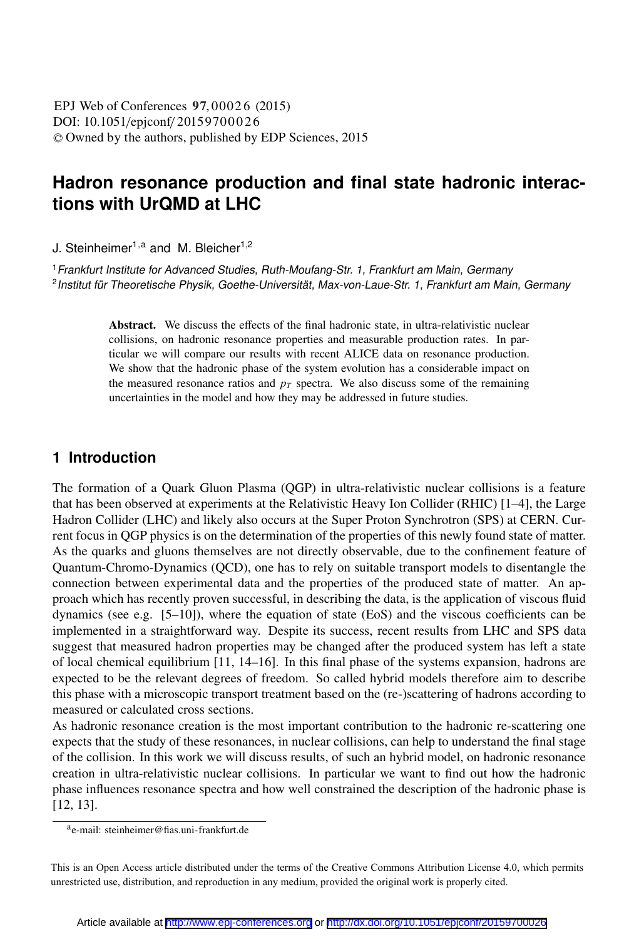DOI: 10.1051/epjconf/ 20159700026 -<sup>C</sup> Owned by the authors, published by EDP Sciences, 2015 EPJ Web of Conferences 97,00026 (2015)

# **Hadron resonance production and final state hadronic interactions with UrQMD at LHC**

J. Steinheimer<sup>1,a</sup> and M. Bleicher<sup>1,2</sup>

<sup>1</sup> Frankfurt Institute for Advanced Studies, Ruth-Moufang-Str. 1, Frankfurt am Main, Germany <sup>2</sup> Institut für Theoretische Physik, Goethe-Universität, Max-von-Laue-Str. 1, Frankfurt am Main, Germany

> Abstract. We discuss the effects of the final hadronic state, in ultra-relativistic nuclear collisions, on hadronic resonance properties and measurable production rates. In particular we will compare our results with recent ALICE data on resonance production. We show that the hadronic phase of the system evolution has a considerable impact on the measured resonance ratios and  $p_T$  spectra. We also discuss some of the remaining uncertainties in the model and how they may be addressed in future studies.

#### **1 Introduction**

The formation of a Quark Gluon Plasma (QGP) in ultra-relativistic nuclear collisions is a feature that has been observed at experiments at the Relativistic Heavy Ion Collider (RHIC) [1–4], the Large Hadron Collider (LHC) and likely also occurs at the Super Proton Synchrotron (SPS) at CERN. Current focus in QGP physics is on the determination of the properties of this newly found state of matter. As the quarks and gluons themselves are not directly observable, due to the confinement feature of Quantum-Chromo-Dynamics (QCD), one has to rely on suitable transport models to disentangle the connection between experimental data and the properties of the produced state of matter. An approach which has recently proven successful, in describing the data, is the application of viscous fluid dynamics (see e.g. [5–10]), where the equation of state (EoS) and the viscous coefficients can be implemented in a straightforward way. Despite its success, recent results from LHC and SPS data suggest that measured hadron properties may be changed after the produced system has left a state of local chemical equilibrium [11, 14–16]. In this final phase of the systems expansion, hadrons are expected to be the relevant degrees of freedom. So called hybrid models therefore aim to describe this phase with a microscopic transport treatment based on the (re-)scattering of hadrons according to measured or calculated cross sections.

As hadronic resonance creation is the most important contribution to the hadronic re-scattering one expects that the study of these resonances, in nuclear collisions, can help to understand the final stage of the collision. In this work we will discuss results, of such an hybrid model, on hadronic resonance creation in ultra-relativistic nuclear collisions. In particular we want to find out how the hadronic phase influences resonance spectra and how well constrained the description of the hadronic phase is [12, 13].

This is an Open Access article distributed under the terms of the Creative Commons Attribution License 4.0, which permits unrestricted use, distribution, and reproduction in any medium, provided the original work is properly cited.

ae-mail: steinheimer@fias.uni-frankfurt.de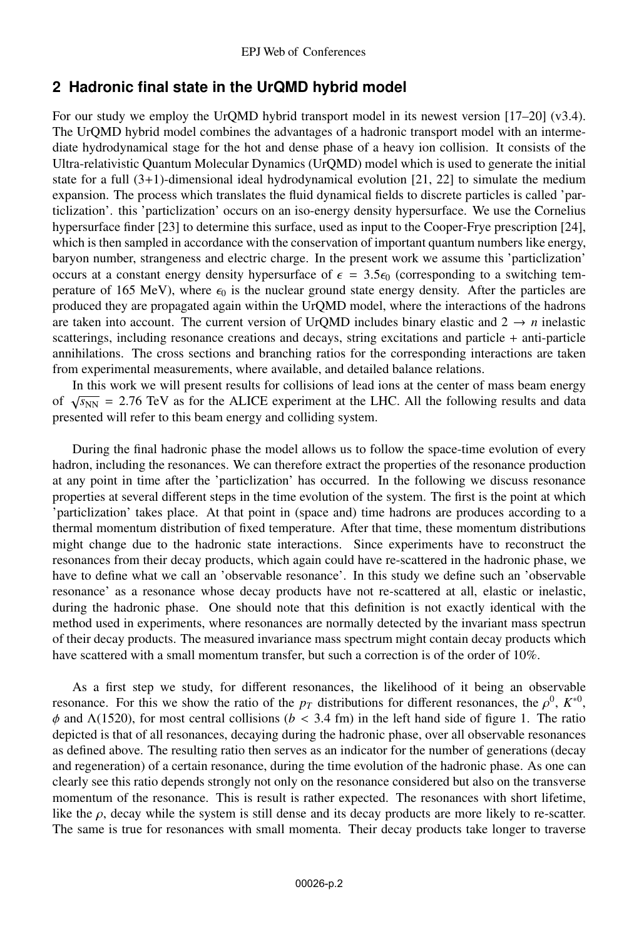#### **2 Hadronic final state in the UrQMD hybrid model**

For our study we employ the UrQMD hybrid transport model in its newest version [17–20] (v3.4). The UrQMD hybrid model combines the advantages of a hadronic transport model with an intermediate hydrodynamical stage for the hot and dense phase of a heavy ion collision. It consists of the Ultra-relativistic Quantum Molecular Dynamics (UrQMD) model which is used to generate the initial state for a full  $(3+1)$ -dimensional ideal hydrodynamical evolution [21, 22] to simulate the medium expansion. The process which translates the fluid dynamical fields to discrete particles is called 'particlization'. this 'particlization' occurs on an iso-energy density hypersurface. We use the Cornelius hypersurface finder [23] to determine this surface, used as input to the Cooper-Frye prescription [24], which is then sampled in accordance with the conservation of important quantum numbers like energy, baryon number, strangeness and electric charge. In the present work we assume this 'particlization' occurs at a constant energy density hypersurface of  $\epsilon = 3.5\epsilon_0$  (corresponding to a switching temperature of 165 MeV), where  $\epsilon_0$  is the nuclear ground state energy density. After the particles are produced they are propagated again within the UrQMD model, where the interactions of the hadrons are taken into account. The current version of UrQMD includes binary elastic and  $2 \rightarrow n$  inelastic scatterings, including resonance creations and decays, string excitations and particle + anti-particle annihilations. The cross sections and branching ratios for the corresponding interactions are taken from experimental measurements, where available, and detailed balance relations.

In this work we will present results for collisions of lead ions at the center of mass beam energy of  $\sqrt{s_{NN}}$  = 2.76 TeV as for the ALICE experiment at the LHC. All the following results and data presented will refer to this beam energy and colliding system.

During the final hadronic phase the model allows us to follow the space-time evolution of every hadron, including the resonances. We can therefore extract the properties of the resonance production at any point in time after the 'particlization' has occurred. In the following we discuss resonance properties at several different steps in the time evolution of the system. The first is the point at which 'particlization' takes place. At that point in (space and) time hadrons are produces according to a thermal momentum distribution of fixed temperature. After that time, these momentum distributions might change due to the hadronic state interactions. Since experiments have to reconstruct the resonances from their decay products, which again could have re-scattered in the hadronic phase, we have to define what we call an 'observable resonance'. In this study we define such an 'observable resonance' as a resonance whose decay products have not re-scattered at all, elastic or inelastic, during the hadronic phase. One should note that this definition is not exactly identical with the method used in experiments, where resonances are normally detected by the invariant mass spectrun of their decay products. The measured invariance mass spectrum might contain decay products which have scattered with a small momentum transfer, but such a correction is of the order of 10%.

As a first step we study, for different resonances, the likelihood of it being an observable resonance. For this we show the ratio of the  $p_T$  distributions for different resonances, the  $\rho^0$ ,  $K^{*0}$ ,  $\phi$  and  $\Lambda$ (1520), for most central collisions (*b* < 3.4 fm) in the left hand side of figure 1. The ratio depicted is that of all resonances, decaying during the hadronic phase, over all observable resonances as defined above. The resulting ratio then serves as an indicator for the number of generations (decay and regeneration) of a certain resonance, during the time evolution of the hadronic phase. As one can clearly see this ratio depends strongly not only on the resonance considered but also on the transverse momentum of the resonance. This is result is rather expected. The resonances with short lifetime, like the  $\rho$ , decay while the system is still dense and its decay products are more likely to re-scatter. The same is true for resonances with small momenta. Their decay products take longer to traverse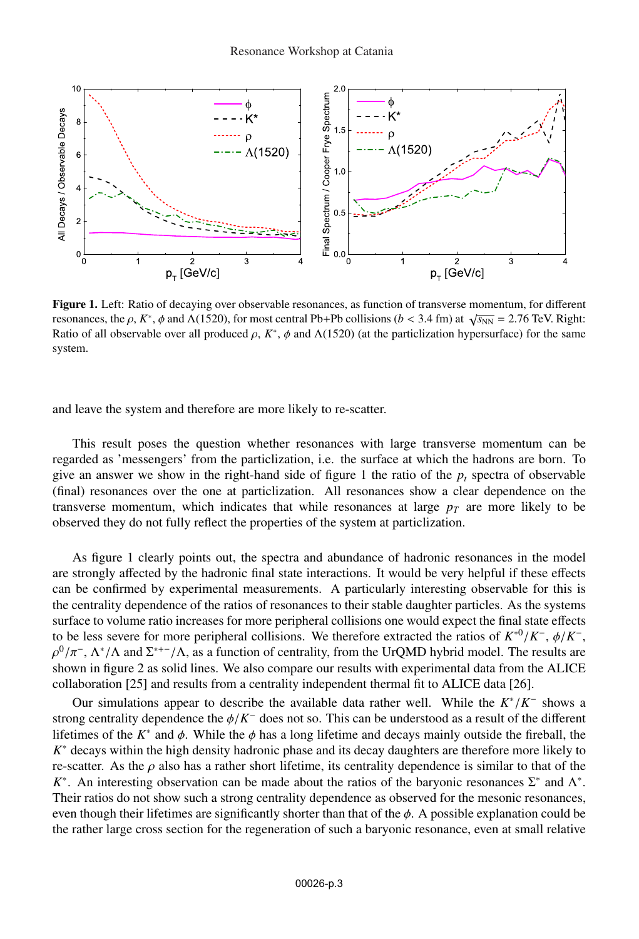

Figure 1. Left: Ratio of decaying over observable resonances, as function of transverse momentum, for different resonances, the  $\rho$ ,  $K^*$ ,  $\phi$  and  $\Lambda$ (1520), for most central Pb+Pb collisions ( $b < 3.4$  fm) at  $\sqrt{s_{NN}} = 2.76$  TeV. Right: Ratio of all observable over all produced  $\rho$ ,  $K^*$ ,  $\phi$  and  $\Lambda(1520)$  (at the particlization hypersurface) for the same system.

and leave the system and therefore are more likely to re-scatter.

This result poses the question whether resonances with large transverse momentum can be regarded as 'messengers' from the particlization, i.e. the surface at which the hadrons are born. To give an answer we show in the right-hand side of figure 1 the ratio of the  $p_t$  spectra of observable (final) resonances over the one at particlization. All resonances show a clear dependence on the transverse momentum, which indicates that while resonances at large  $p<sub>T</sub>$  are more likely to be observed they do not fully reflect the properties of the system at particlization.

As figure 1 clearly points out, the spectra and abundance of hadronic resonances in the model are strongly affected by the hadronic final state interactions. It would be very helpful if these effects can be confirmed by experimental measurements. A particularly interesting observable for this is the centrality dependence of the ratios of resonances to their stable daughter particles. As the systems surface to volume ratio increases for more peripheral collisions one would expect the final state effects to be less severe for more peripheral collisions. We therefore extracted the ratios of  $K^{*0}/K^-$ ,  $\phi/K^-$ ,  $\rho^0/\pi^-$ ,  $\Lambda^*/\Lambda$  and  $\Sigma^{*+-}/\Lambda$ , as a function of centrality, from the UrQMD hybrid model. The results are shown in figure 2 as solid lines. We also compare our results with experimental data from the ALICE collaboration [25] and results from a centrality independent thermal fit to ALICE data [26].

Our simulations appear to describe the available data rather well. While the *K*∗/*K*<sup>−</sup> shows a strong centrality dependence the φ/*K*<sup>−</sup> does not so. This can be understood as a result of the different lifetimes of the  $K^*$  and  $\phi$ . While the  $\phi$  has a long lifetime and decays mainly outside the fireball, the *K*<sup>∗</sup> decays within the high density hadronic phase and its decay daughters are therefore more likely to re-scatter. As the  $\rho$  also has a rather short lifetime, its centrality dependence is similar to that of the *K*<sup>∗</sup>. An interesting observation can be made about the ratios of the baryonic resonances  $\Sigma^*$  and  $Λ^*$ . Their ratios do not show such a strong centrality dependence as observed for the mesonic resonances, even though their lifetimes are significantly shorter than that of the  $\phi$ . A possible explanation could be the rather large cross section for the regeneration of such a baryonic resonance, even at small relative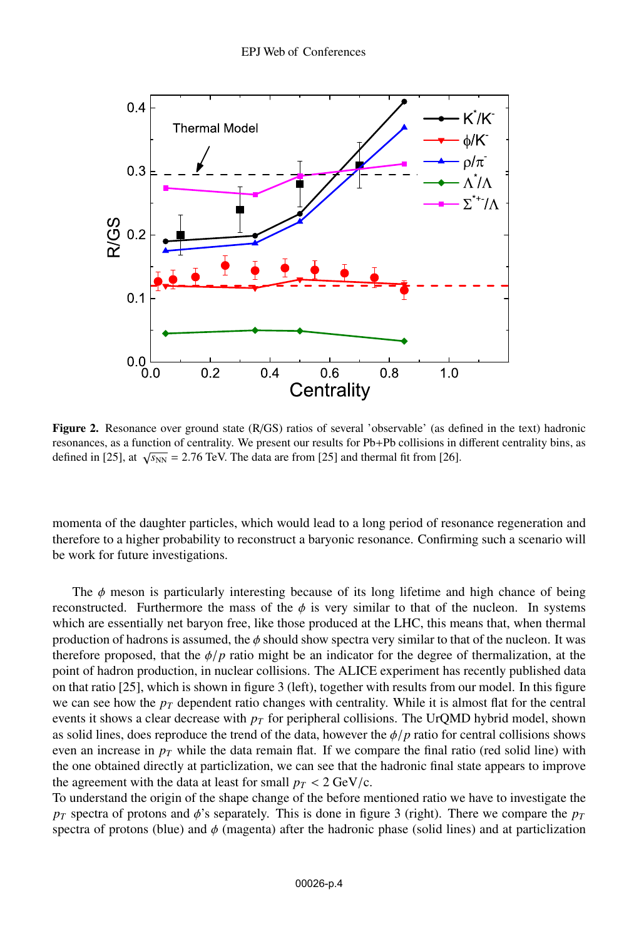

Figure 2. Resonance over ground state (R/GS) ratios of several 'observable' (as defined in the text) hadronic resonances, as a function of centrality. We present our results for Pb+Pb collisions in different centrality bins, as defined in [25], at  $\sqrt{s_{NN}}$  = 2.76 TeV. The data are from [25] and thermal fit from [26].

momenta of the daughter particles, which would lead to a long period of resonance regeneration and therefore to a higher probability to reconstruct a baryonic resonance. Confirming such a scenario will be work for future investigations.

The  $\phi$  meson is particularly interesting because of its long lifetime and high chance of being reconstructed. Furthermore the mass of the  $\phi$  is very similar to that of the nucleon. In systems which are essentially net baryon free, like those produced at the LHC, this means that, when thermal production of hadrons is assumed, the  $\phi$  should show spectra very similar to that of the nucleon. It was therefore proposed, that the  $\phi/p$  ratio might be an indicator for the degree of thermalization, at the point of hadron production, in nuclear collisions. The ALICE experiment has recently published data on that ratio [25], which is shown in figure 3 (left), together with results from our model. In this figure we can see how the  $p_T$  dependent ratio changes with centrality. While it is almost flat for the central events it shows a clear decrease with  $p<sub>T</sub>$  for peripheral collisions. The UrQMD hybrid model, shown as solid lines, does reproduce the trend of the data, however the  $\phi/p$  ratio for central collisions shows even an increase in  $p<sub>T</sub>$  while the data remain flat. If we compare the final ratio (red solid line) with the one obtained directly at particlization, we can see that the hadronic final state appears to improve the agreement with the data at least for small  $p_T < 2 \text{ GeV/c}$ .

To understand the origin of the shape change of the before mentioned ratio we have to investigate the  $p_T$  spectra of protons and  $\phi$ 's separately. This is done in figure 3 (right). There we compare the  $p_T$ spectra of protons (blue) and  $\phi$  (magenta) after the hadronic phase (solid lines) and at particlization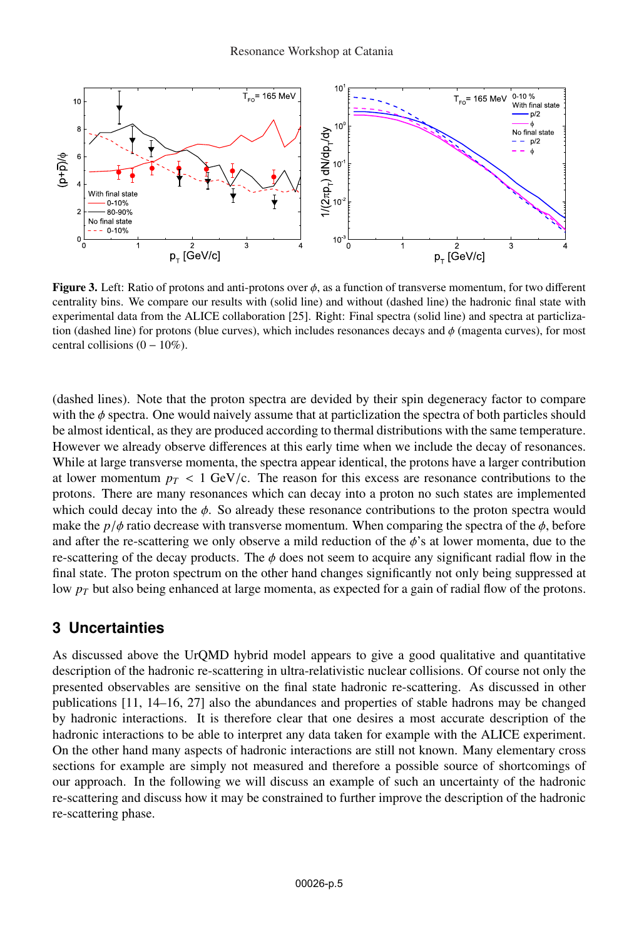

**Figure 3.** Left: Ratio of protons and anti-protons over  $\phi$ , as a function of transverse momentum, for two different centrality bins. We compare our results with (solid line) and without (dashed line) the hadronic final state with experimental data from the ALICE collaboration [25]. Right: Final spectra (solid line) and spectra at particlization (dashed line) for protons (blue curves), which includes resonances decays and  $\phi$  (magenta curves), for most central collisions  $(0 - 10\%)$ .

(dashed lines). Note that the proton spectra are devided by their spin degeneracy factor to compare with the  $\phi$  spectra. One would naively assume that at particlization the spectra of both particles should be almost identical, as they are produced according to thermal distributions with the same temperature. However we already observe differences at this early time when we include the decay of resonances. While at large transverse momenta, the spectra appear identical, the protons have a larger contribution at lower momentum  $p_T < 1$  GeV/c. The reason for this excess are resonance contributions to the protons. There are many resonances which can decay into a proton no such states are implemented which could decay into the  $\phi$ . So already these resonance contributions to the proton spectra would make the  $p/\phi$  ratio decrease with transverse momentum. When comparing the spectra of the  $\phi$ , before and after the re-scattering we only observe a mild reduction of the  $\phi$ 's at lower momenta, due to the re-scattering of the decay products. The  $\phi$  does not seem to acquire any significant radial flow in the final state. The proton spectrum on the other hand changes significantly not only being suppressed at low  $p_T$  but also being enhanced at large momenta, as expected for a gain of radial flow of the protons.

## **3 Uncertainties**

As discussed above the UrQMD hybrid model appears to give a good qualitative and quantitative description of the hadronic re-scattering in ultra-relativistic nuclear collisions. Of course not only the presented observables are sensitive on the final state hadronic re-scattering. As discussed in other publications [11, 14–16, 27] also the abundances and properties of stable hadrons may be changed by hadronic interactions. It is therefore clear that one desires a most accurate description of the hadronic interactions to be able to interpret any data taken for example with the ALICE experiment. On the other hand many aspects of hadronic interactions are still not known. Many elementary cross sections for example are simply not measured and therefore a possible source of shortcomings of our approach. In the following we will discuss an example of such an uncertainty of the hadronic re-scattering and discuss how it may be constrained to further improve the description of the hadronic re-scattering phase.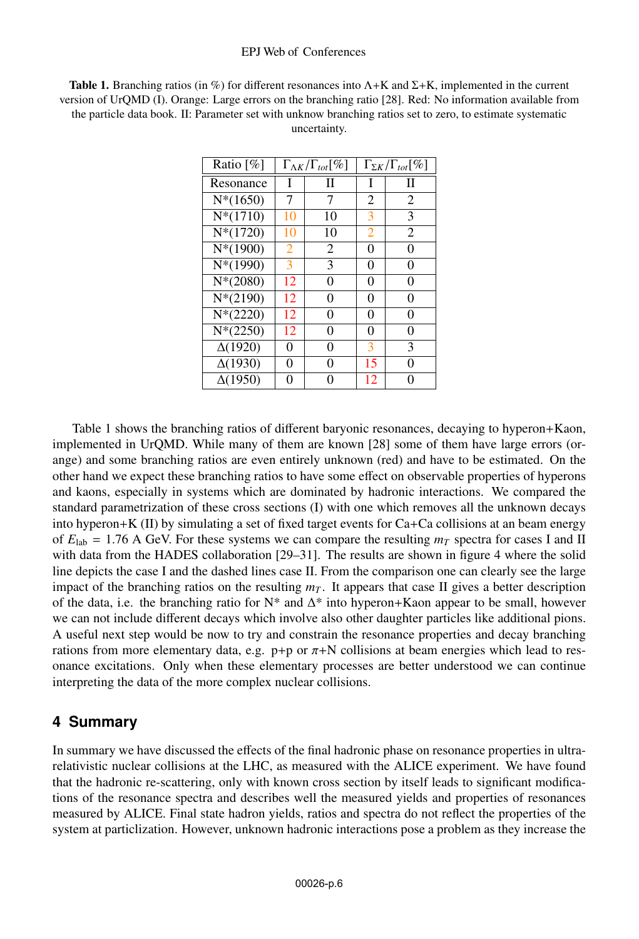Table 1. Branching ratios (in %) for different resonances into  $\Lambda$ +K and  $\Sigma$ +K, implemented in the current version of UrQMD (I). Orange: Large errors on the branching ratio [28]. Red: No information available from the particle data book. II: Parameter set with unknow branching ratios set to zero, to estimate systematic uncertainty.

| Ratio $[\%]$   | $\Gamma_{\Delta K}/\Gamma_{tot}[\%]$ |    | $\Gamma_{\Sigma K}/\Gamma_{tot}[\%]$ |                |
|----------------|--------------------------------------|----|--------------------------------------|----------------|
| Resonance      | I                                    | П  | I                                    | П              |
| $N*(1650)$     | 7                                    | 7  | 2                                    | 2              |
| $N*(1710)$     | 10                                   | 10 | 3                                    | 3              |
| $N*(1720)$     | 10                                   | 10 | 2                                    | $\overline{2}$ |
| $N*(1900)$     | 2                                    | 2  | 0                                    | 0              |
| $N*(1990)$     | 3                                    | 3  | 0                                    | 0              |
| $N*(2080)$     | 12                                   | 0  | 0                                    | 0              |
| $N*(2190)$     | 12                                   | 0  | 0                                    | 0              |
| $N*(2220)$     | 12                                   | 0  | 0                                    | 0              |
| $N*(2250)$     | 12                                   | 0  | 0                                    | 0              |
| $\Delta(1920)$ | 0                                    | 0  | 3                                    | 3              |
| $\Delta(1930)$ | 0                                    | 0  | 15                                   | 0              |
| $\Delta(1950)$ | 0                                    |    | 12                                   |                |

Table 1 shows the branching ratios of different baryonic resonances, decaying to hyperon+Kaon, implemented in UrQMD. While many of them are known [28] some of them have large errors (orange) and some branching ratios are even entirely unknown (red) and have to be estimated. On the other hand we expect these branching ratios to have some effect on observable properties of hyperons and kaons, especially in systems which are dominated by hadronic interactions. We compared the standard parametrization of these cross sections (I) with one which removes all the unknown decays into hyperon+K (II) by simulating a set of fixed target events for Ca+Ca collisions at an beam energy of  $E_{lab} = 1.76$  A GeV. For these systems we can compare the resulting  $m<sub>T</sub>$  spectra for cases I and II with data from the HADES collaboration [29–31]. The results are shown in figure 4 where the solid line depicts the case I and the dashed lines case II. From the comparison one can clearly see the large impact of the branching ratios on the resulting  $m<sub>T</sub>$ . It appears that case II gives a better description of the data, i.e. the branching ratio for  $N^*$  and  $\Delta^*$  into hyperon+Kaon appear to be small, however we can not include different decays which involve also other daughter particles like additional pions. A useful next step would be now to try and constrain the resonance properties and decay branching rations from more elementary data, e.g.  $p+p$  or  $\pi+N$  collisions at beam energies which lead to resonance excitations. Only when these elementary processes are better understood we can continue interpreting the data of the more complex nuclear collisions.

## **4 Summary**

In summary we have discussed the effects of the final hadronic phase on resonance properties in ultrarelativistic nuclear collisions at the LHC, as measured with the ALICE experiment. We have found that the hadronic re-scattering, only with known cross section by itself leads to significant modifications of the resonance spectra and describes well the measured yields and properties of resonances measured by ALICE. Final state hadron yields, ratios and spectra do not reflect the properties of the system at particlization. However, unknown hadronic interactions pose a problem as they increase the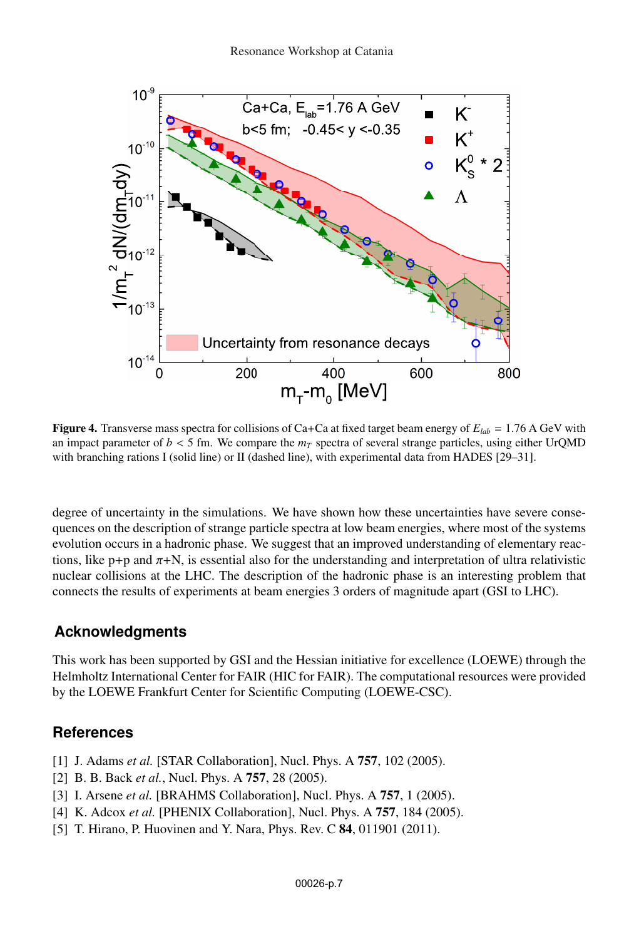

Figure 4. Transverse mass spectra for collisions of Ca+Ca at fixed target beam energy of  $E_{lab} = 1.76$  A GeV with an impact parameter of  $b < 5$  fm. We compare the  $m<sub>T</sub>$  spectra of several strange particles, using either UrQMD with branching rations I (solid line) or II (dashed line), with experimental data from HADES [29–31].

degree of uncertainty in the simulations. We have shown how these uncertainties have severe consequences on the description of strange particle spectra at low beam energies, where most of the systems evolution occurs in a hadronic phase. We suggest that an improved understanding of elementary reactions, like  $p+p$  and  $\pi+N$ , is essential also for the understanding and interpretation of ultra relativistic nuclear collisions at the LHC. The description of the hadronic phase is an interesting problem that connects the results of experiments at beam energies 3 orders of magnitude apart (GSI to LHC).

#### **Acknowledgments**

This work has been supported by GSI and the Hessian initiative for excellence (LOEWE) through the Helmholtz International Center for FAIR (HIC for FAIR). The computational resources were provided by the LOEWE Frankfurt Center for Scientific Computing (LOEWE-CSC).

## **References**

- [1] J. Adams *et al.* [STAR Collaboration], Nucl. Phys. A **757**, 102 (2005).
- [2] B. B. Back *et al.*, Nucl. Phys. A 757, 28 (2005).
- [3] I. Arsene *et al.* [BRAHMS Collaboration], Nucl. Phys. A 757, 1 (2005).
- [4] K. Adcox *et al.* [PHENIX Collaboration], Nucl. Phys. A 757, 184 (2005).
- [5] T. Hirano, P. Huovinen and Y. Nara, Phys. Rev. C 84, 011901 (2011).